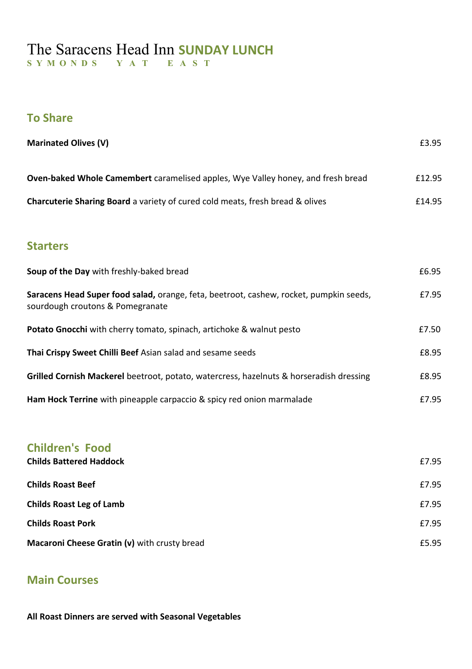## The Saracens Head Inn **SUNDAY LUNCH**

**S Y M O N D S Y A T E A S T** 

## **To Share**

| <b>Marinated Olives (V)</b>                                                                                                | £3.95  |
|----------------------------------------------------------------------------------------------------------------------------|--------|
| Oven-baked Whole Camembert caramelised apples, Wye Valley honey, and fresh bread                                           | £12.95 |
| Charcuterie Sharing Board a variety of cured cold meats, fresh bread & olives                                              | £14.95 |
| <b>Starters</b>                                                                                                            |        |
|                                                                                                                            |        |
| Soup of the Day with freshly-baked bread                                                                                   | £6.95  |
| Saracens Head Super food salad, orange, feta, beetroot, cashew, rocket, pumpkin seeds,<br>sourdough croutons & Pomegranate | £7.95  |
| Potato Gnocchi with cherry tomato, spinach, artichoke & walnut pesto                                                       | £7.50  |
| Thai Crispy Sweet Chilli Beef Asian salad and sesame seeds                                                                 | £8.95  |
| Grilled Cornish Mackerel beetroot, potato, watercress, hazelnuts & horseradish dressing                                    | £8.95  |
| Ham Hock Terrine with pineapple carpaccio & spicy red onion marmalade                                                      | £7.95  |
|                                                                                                                            |        |
| <b>Children's Food</b>                                                                                                     |        |
| <b>Childs Battered Haddock</b>                                                                                             | £7.95  |
| <b>Childs Roast Beef</b>                                                                                                   | £7.95  |
| <b>Childs Roast Leg of Lamb</b>                                                                                            | £7.95  |
| <b>Childs Roast Pork</b>                                                                                                   | £7.95  |

## **Macaroni Cheese Gratin (v)** with crusty bread £5.95

## **Main Courses**

**All Roast Dinners are served with Seasonal Vegetables**